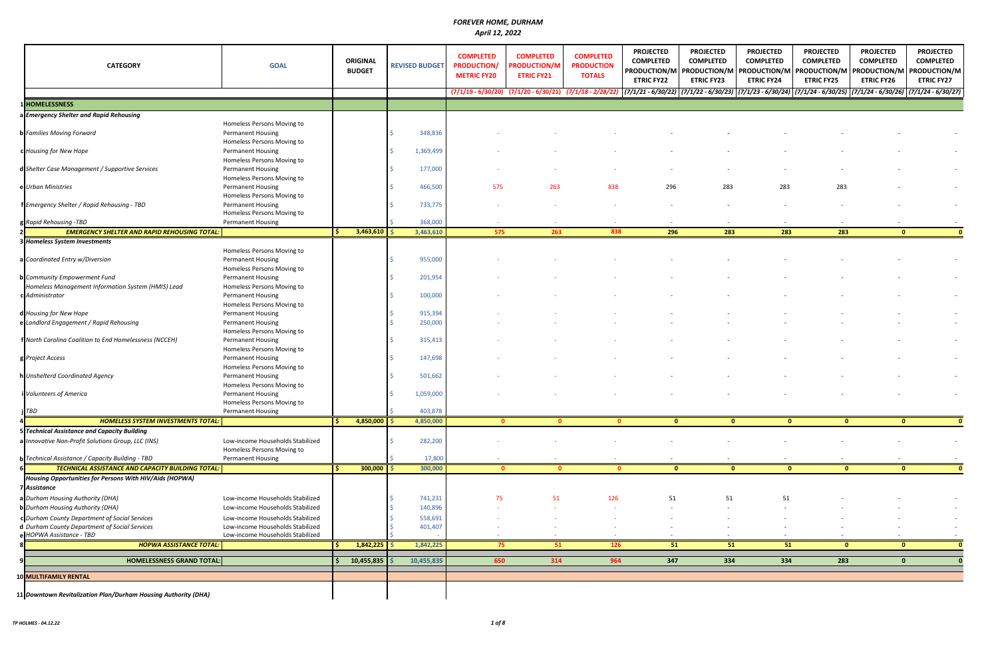| <b>CATEGORY</b>                                                           | <b>GOAL</b>                                                                          | <b>ORIGINAL</b><br><b>BUDGET</b> | <b>REVISED BUDGET</b> | <b>COMPLETED</b><br><b>PRODUCTION/</b><br><b>METRIC FY20</b> | <b>COMPLETED</b><br><b>PRODUCTION/M</b><br><b>ETRIC FY21</b> | <b>COMPLETED</b><br><b>PRODUCTION</b><br><b>TOTALS</b> | <b>PROJECTED</b><br><b>COMPLETED</b><br>PRODUCTION/M<br><b>ETRIC FY22</b> | <b>PROJECTED</b><br><b>COMPLETED</b><br><b>ETRIC FY23</b> | <b>PROJECTED</b><br><b>COMPLETED</b><br><b>ETRIC FY24</b> | <b>PROJECTED</b><br><b>COMPLETED</b><br>  PRODUCTION/M   PRODUCTION/M   PRODUCTION/M   PRODUCTION/M   PRODUCTION/M<br><b>ETRIC FY25</b>                                                      | <b>PROJECTED</b><br><b>COMPLETED</b><br><b>ETRIC FY26</b> | <b>PROJECTED</b><br><b>COMPLETED</b><br><b>ETRIC FY27</b> |
|---------------------------------------------------------------------------|--------------------------------------------------------------------------------------|----------------------------------|-----------------------|--------------------------------------------------------------|--------------------------------------------------------------|--------------------------------------------------------|---------------------------------------------------------------------------|-----------------------------------------------------------|-----------------------------------------------------------|----------------------------------------------------------------------------------------------------------------------------------------------------------------------------------------------|-----------------------------------------------------------|-----------------------------------------------------------|
|                                                                           |                                                                                      |                                  |                       |                                                              |                                                              |                                                        |                                                                           |                                                           |                                                           | $(7/1/19 - 6/30/20)$ $(7/1/20 - 6/30/21)$ $(7/1/18 - 2/28/22)$ $(7/1/22 - 6/30/22)$ $(7/1/22 - 6/30/23)$ $(7/1/23 - 6/30/24)$ $(7/1/24 - 6/30/25)$ $(7/1/24 - 6/30/26)$ $(7/1/24 - 6/30/27)$ |                                                           |                                                           |
| 1HOMELESSNESS                                                             |                                                                                      |                                  |                       |                                                              |                                                              |                                                        |                                                                           |                                                           |                                                           |                                                                                                                                                                                              |                                                           |                                                           |
| a Emergency Shelter and Rapid Rehousing                                   |                                                                                      |                                  |                       |                                                              |                                                              |                                                        |                                                                           |                                                           |                                                           |                                                                                                                                                                                              |                                                           |                                                           |
| <b>b</b> Families Moving Forward                                          | Homeless Persons Moving to<br><b>Permanent Housing</b><br>Homeless Persons Moving to |                                  | 348,836               |                                                              |                                                              |                                                        |                                                                           |                                                           |                                                           |                                                                                                                                                                                              |                                                           |                                                           |
| c Housing for New Hope                                                    | <b>Permanent Housing</b><br>Homeless Persons Moving to                               |                                  | 1,369,499             |                                                              |                                                              |                                                        |                                                                           |                                                           |                                                           |                                                                                                                                                                                              |                                                           |                                                           |
| d Shelter Case Management / Supportive Services                           | <b>Permanent Housing</b><br>Homeless Persons Moving to                               |                                  | 177,000               |                                                              |                                                              |                                                        |                                                                           |                                                           |                                                           |                                                                                                                                                                                              |                                                           |                                                           |
| e Urban Ministries                                                        | <b>Permanent Housing</b><br>Homeless Persons Moving to                               |                                  | 466,500               | 575                                                          | 263                                                          | 838                                                    | 296                                                                       | 283                                                       | 283                                                       | 283                                                                                                                                                                                          |                                                           |                                                           |
| f Emergency Shelter / Rapid Rehousing - TBD                               | <b>Permanent Housing</b><br>Homeless Persons Moving to                               |                                  | 733,775               |                                                              |                                                              |                                                        |                                                                           |                                                           |                                                           |                                                                                                                                                                                              |                                                           |                                                           |
| g Rapid Rehousing -TBD                                                    | <b>Permanent Housing</b>                                                             |                                  | 368,000               |                                                              | $\sim$                                                       |                                                        | $\overline{\phantom{a}}$                                                  | $\overline{\phantom{a}}$                                  | $\overline{\phantom{a}}$                                  | $\overline{\phantom{a}}$                                                                                                                                                                     |                                                           |                                                           |
| <b>EMERGENCY SHELTER AND RAPID REHOUSING TOTAL:</b>                       |                                                                                      | $3,463,610$ \$                   | 3,463,610             | 575                                                          | 263                                                          | 838                                                    | 296                                                                       | $\boxed{283}$                                             | 283                                                       | 283                                                                                                                                                                                          | $\bullet$                                                 |                                                           |
| 3 Homeless System Investments                                             |                                                                                      |                                  |                       |                                                              |                                                              |                                                        |                                                                           |                                                           |                                                           |                                                                                                                                                                                              |                                                           |                                                           |
| a Coordinated Entry w/Diversion                                           | Homeless Persons Moving to<br><b>Permanent Housing</b><br>Homeless Persons Moving to |                                  | 955,000               |                                                              |                                                              |                                                        |                                                                           |                                                           |                                                           |                                                                                                                                                                                              |                                                           |                                                           |
| <b>b</b> Community Empowerment Fund                                       | <b>Permanent Housing</b>                                                             |                                  | 201,954               |                                                              |                                                              |                                                        |                                                                           |                                                           |                                                           |                                                                                                                                                                                              |                                                           |                                                           |
| Homeless Management Information System (HMIS) Lead                        | Homeless Persons Moving to                                                           |                                  |                       |                                                              |                                                              |                                                        |                                                                           |                                                           |                                                           |                                                                                                                                                                                              |                                                           |                                                           |
| c Administrator                                                           | <b>Permanent Housing</b><br>Homeless Persons Moving to                               |                                  | 100,000               |                                                              |                                                              |                                                        |                                                                           |                                                           |                                                           |                                                                                                                                                                                              |                                                           |                                                           |
| d Housing for New Hope                                                    | <b>Permanent Housing</b>                                                             |                                  | 915,394               |                                                              |                                                              |                                                        |                                                                           |                                                           |                                                           |                                                                                                                                                                                              |                                                           |                                                           |
| e Landlord Engagement / Rapid Rehousing                                   | <b>Permanent Housing</b><br>Homeless Persons Moving to                               |                                  | 250,000               |                                                              |                                                              |                                                        |                                                                           |                                                           |                                                           |                                                                                                                                                                                              |                                                           |                                                           |
| f North Carolina Coalition to End Homelessness (NCCEH)                    | <b>Permanent Housing</b><br>Homeless Persons Moving to                               |                                  | 315,413               |                                                              |                                                              |                                                        |                                                                           |                                                           |                                                           |                                                                                                                                                                                              |                                                           |                                                           |
| g Project Access<br>h Unshelterd Coordinated Agency                       | Permanent Housing<br>Homeless Persons Moving to<br>Permanent Housing                 |                                  | 147,698<br>501,662    |                                                              |                                                              |                                                        |                                                                           |                                                           |                                                           |                                                                                                                                                                                              |                                                           |                                                           |
| i Volunteers of America                                                   | Homeless Persons Moving to<br><b>Permanent Housing</b>                               |                                  | 1,059,000             |                                                              |                                                              |                                                        |                                                                           |                                                           |                                                           |                                                                                                                                                                                              |                                                           |                                                           |
| TBD                                                                       | Homeless Persons Moving to<br><b>Permanent Housing</b>                               |                                  | 403,878               |                                                              |                                                              |                                                        |                                                                           |                                                           |                                                           |                                                                                                                                                                                              |                                                           |                                                           |
| <b>HOMELESS SYSTEM INVESTMENTS TOTAL:</b>                                 |                                                                                      | 4,850,000 \$                     | 4,850,000             | $\bullet$                                                    | $\mathbf{0}$                                                 |                                                        | $\mathbf{0}$<br>$\mathbf{0}$                                              |                                                           | $\mathbf{0}$                                              | $\mathbf{0}$<br>$\mathbf{0}$                                                                                                                                                                 | $\mathbf{0}$                                              |                                                           |
| 5 Technical Assistance and Capacity Building                              |                                                                                      |                                  |                       |                                                              |                                                              |                                                        |                                                                           |                                                           |                                                           |                                                                                                                                                                                              |                                                           |                                                           |
| a Innovative Non-Profit Solutions Group, LLC (INS)                        | Low-income Households Stabilized<br>Homeless Persons Moving to                       |                                  | 282,200               |                                                              |                                                              |                                                        |                                                                           |                                                           |                                                           |                                                                                                                                                                                              |                                                           |                                                           |
| <b>b</b> Technical Assistance / Capacity Building - TBD                   | Permanent Housing                                                                    |                                  | 17,800                |                                                              |                                                              |                                                        |                                                                           |                                                           |                                                           |                                                                                                                                                                                              |                                                           |                                                           |
| TECHNICAL ASSISTANCE AND CAPACITY BUILDING TOTAL:                         |                                                                                      | 300,000                          | 300,000               | $\mathbf{0}$                                                 |                                                              |                                                        | $\mathbf{0}$<br>$\Omega$                                                  |                                                           | $\mathbf{0}$                                              | $\mathbf{0}$<br>$\mathbf{0}$                                                                                                                                                                 | $\mathbf{0}$                                              |                                                           |
| Housing Opportunities for Persons With HIV/Aids (HOPWA)<br>7 Assistance   |                                                                                      |                                  |                       |                                                              |                                                              |                                                        |                                                                           |                                                           |                                                           |                                                                                                                                                                                              |                                                           |                                                           |
| a Durham Housing Authority (DHA)                                          | Low-income Households Stabilized                                                     |                                  | 741,231               | 75                                                           | 51                                                           | 126                                                    | 51                                                                        | 51                                                        | 51                                                        |                                                                                                                                                                                              |                                                           |                                                           |
| <b>b</b> Durham Housing Authority (DHA)                                   | Low-income Households Stabilized                                                     |                                  | 140,896               |                                                              |                                                              |                                                        |                                                                           |                                                           |                                                           |                                                                                                                                                                                              |                                                           |                                                           |
| c Durham County Department of Social Services                             | Low-income Households Stabilized                                                     |                                  | 558,691               |                                                              |                                                              |                                                        |                                                                           |                                                           |                                                           |                                                                                                                                                                                              |                                                           |                                                           |
| d Durham County Department of Social Services<br>e HOPWA Assistance - TBD | Low-income Households Stabilized<br>Low-income Households Stabilized                 |                                  | 401,407               |                                                              |                                                              |                                                        |                                                                           | $\overline{\phantom{a}}$                                  |                                                           |                                                                                                                                                                                              |                                                           |                                                           |
| <b>HOPWA ASSISTANCE TOTAL:</b>                                            |                                                                                      | 1,842,225                        | 1,842,225             | 75                                                           | 51                                                           | 126                                                    | 51                                                                        | 51                                                        | 51                                                        | $\Omega$                                                                                                                                                                                     | $\mathbf{0}$                                              |                                                           |
| <b>HOMELESSNESS GRAND TOTAL:</b>                                          |                                                                                      | 10,455,835                       | 10,455,835            | 650                                                          | 314                                                          | 964                                                    | 347                                                                       | 334                                                       | 334                                                       | 283                                                                                                                                                                                          | $\mathbf{0}$                                              |                                                           |
| 10 MULTIFAMILY RENTAL                                                     |                                                                                      |                                  |                       |                                                              |                                                              |                                                        |                                                                           |                                                           |                                                           |                                                                                                                                                                                              |                                                           |                                                           |
| 11 Downtown Revitalization Plan/Durham Housing Authority (DHA)            |                                                                                      |                                  |                       |                                                              |                                                              |                                                        |                                                                           |                                                           |                                                           |                                                                                                                                                                                              |                                                           |                                                           |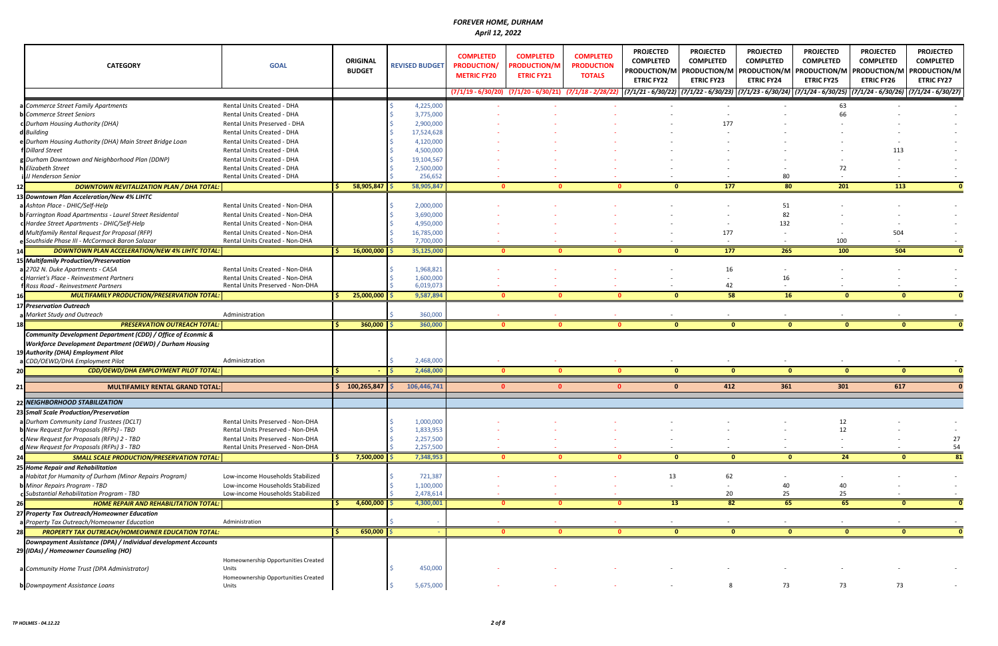| <b>CATEGORY</b>                                                                                  | <b>GOAL</b>                                                        | <b>ORIGINAL</b><br><b>BUDGET</b> | <b>REVISED BUDGET</b>   | <b>COMPLETED</b><br><b>PRODUCTION/</b><br><b>METRIC FY20</b> | <b>COMPLETED</b><br><b>PRODUCTION/M</b><br><b>ETRIC FY21</b> | <b>COMPLETED</b><br><b>PRODUCTION</b><br><b>TOTALS</b> | <b>PROJECTED</b><br><b>COMPLETED</b><br><b>ETRIC FY22</b> | <b>PROJECTED</b><br><b>COMPLETED</b><br>PRODUCTION/M   PRODUCTION/M   PRODUCTION/M<br><b>ETRIC FY23</b><br>$(7/1/19 - 6/30/20)$ $(7/1/20 - 6/30/21)$ $(7/1/18 - 2/28/22)$ $(7/1/21 - 6/30/22)$ $(7/1/22 - 6/30/23)$ $(7/1/23 - 6/30/24)$ $(7/1/24 - 6/30/25)$ $(7/1/24 - 6/30/26)$ $(7/1/24 - 6/30/27)$ | <b>PROJECTED</b><br><b>COMPLETED</b><br><b>ETRIC FY24</b> | <b>PROJECTED</b><br><b>COMPLETED</b><br><b>ETRIC FY25</b> | <b>PROJECTED</b><br><b>COMPLETED</b><br><b>PRODUCTION/M   PRODUCTION/M</b><br><b>ETRIC FY26</b> | <b>PROJECTED</b><br><b>COMPLETED</b><br>PRODUCTION/M<br><b>ETRIC FY27</b> |
|--------------------------------------------------------------------------------------------------|--------------------------------------------------------------------|----------------------------------|-------------------------|--------------------------------------------------------------|--------------------------------------------------------------|--------------------------------------------------------|-----------------------------------------------------------|---------------------------------------------------------------------------------------------------------------------------------------------------------------------------------------------------------------------------------------------------------------------------------------------------------|-----------------------------------------------------------|-----------------------------------------------------------|-------------------------------------------------------------------------------------------------|---------------------------------------------------------------------------|
|                                                                                                  |                                                                    |                                  |                         |                                                              |                                                              |                                                        |                                                           |                                                                                                                                                                                                                                                                                                         |                                                           |                                                           |                                                                                                 |                                                                           |
| a Commerce Street Family Apartments                                                              | Rental Units Created - DHA                                         |                                  | 4,225,000               |                                                              |                                                              |                                                        |                                                           |                                                                                                                                                                                                                                                                                                         |                                                           | 63                                                        |                                                                                                 |                                                                           |
| <b>b</b> Commerce Street Seniors                                                                 | Rental Units Created - DHA                                         |                                  | 3,775,000               |                                                              |                                                              |                                                        |                                                           |                                                                                                                                                                                                                                                                                                         |                                                           | 66                                                        |                                                                                                 |                                                                           |
| c Durham Housing Authority (DHA)                                                                 | Rental Units Preserved - DHA                                       |                                  | 2,900,000               |                                                              |                                                              |                                                        |                                                           | 177                                                                                                                                                                                                                                                                                                     |                                                           |                                                           |                                                                                                 |                                                                           |
| d Building                                                                                       | Rental Units Created - DHA                                         |                                  | 17,524,628              |                                                              |                                                              |                                                        |                                                           |                                                                                                                                                                                                                                                                                                         |                                                           |                                                           |                                                                                                 |                                                                           |
| e Durham Housing Authority (DHA) Main Street Bridge Loan                                         | Rental Units Created - DHA                                         |                                  | 4,120,000               |                                                              |                                                              |                                                        |                                                           |                                                                                                                                                                                                                                                                                                         |                                                           |                                                           |                                                                                                 |                                                                           |
| <b>Dillard Street</b>                                                                            | Rental Units Created - DHA                                         |                                  | 4,500,000               |                                                              |                                                              |                                                        |                                                           |                                                                                                                                                                                                                                                                                                         |                                                           |                                                           | 113                                                                                             |                                                                           |
| g Durham Downtown and Neighborhood Plan (DDNP)                                                   | Rental Units Created - DHA                                         |                                  | 19,104,567              |                                                              |                                                              |                                                        |                                                           |                                                                                                                                                                                                                                                                                                         |                                                           |                                                           |                                                                                                 |                                                                           |
| <b>Elizabeth Street</b><br>JJ Henderson Senior                                                   | Rental Units Created - DHA<br>Rental Units Created - DHA           |                                  | 2,500,000<br>256,652    |                                                              |                                                              |                                                        |                                                           |                                                                                                                                                                                                                                                                                                         | 80                                                        | 72                                                        |                                                                                                 |                                                                           |
|                                                                                                  |                                                                    |                                  |                         |                                                              |                                                              |                                                        |                                                           |                                                                                                                                                                                                                                                                                                         | 80                                                        | 201                                                       |                                                                                                 |                                                                           |
| <b>DOWNTOWN REVITALIZATION PLAN / DHA TOTAL:</b>                                                 |                                                                    | $58,905,847$ \$                  | 58,905,847              | $\mathbf{0}$                                                 |                                                              |                                                        | 0                                                         | 177<br>$\mathbf{0}$                                                                                                                                                                                                                                                                                     |                                                           |                                                           | 113                                                                                             |                                                                           |
| 13 Downtown Plan Acceleration/New 4% LIHTC                                                       |                                                                    |                                  |                         |                                                              |                                                              |                                                        |                                                           |                                                                                                                                                                                                                                                                                                         |                                                           |                                                           |                                                                                                 |                                                                           |
| a Ashton Place - DHIC/Self-Help                                                                  | Rental Units Created - Non-DHA                                     |                                  | 2,000,000               |                                                              |                                                              |                                                        |                                                           |                                                                                                                                                                                                                                                                                                         | 51                                                        |                                                           |                                                                                                 |                                                                           |
| Farrington Road Apartmentss - Laurel Street Residental                                           | Rental Units Created - Non-DHA                                     |                                  | 3,690,000               |                                                              |                                                              |                                                        |                                                           |                                                                                                                                                                                                                                                                                                         | 82                                                        |                                                           |                                                                                                 |                                                                           |
| c Hardee Street Apartments - DHIC/Self-Help                                                      | Rental Units Created - Non-DHA                                     |                                  | 4,950,000               |                                                              |                                                              |                                                        |                                                           |                                                                                                                                                                                                                                                                                                         | 132                                                       |                                                           |                                                                                                 |                                                                           |
| Multifamily Rental Request for Proposal (RFP)<br>e Southside Phase III - McCormack Baron Salazar | Rental Units Created - Non-DHA<br>Rental Units Created - Non-DHA   |                                  | 16,785,000<br>7,700,000 |                                                              |                                                              |                                                        |                                                           | 177<br>$\sim$                                                                                                                                                                                                                                                                                           |                                                           | 100                                                       | 504                                                                                             |                                                                           |
|                                                                                                  |                                                                    |                                  |                         | $\mathbf{0}$                                                 | $\Omega$                                                     |                                                        | $\mathbf{0}$                                              | $\frac{177}{2}$<br>$\mathbf{0}$                                                                                                                                                                                                                                                                         | 265                                                       | 100                                                       | 504                                                                                             |                                                                           |
| DOWNTOWN PLAN ACCELERATION/NEW 4% LIHTC TOTAL:                                                   |                                                                    | 16,000,000                       | 35,125,000              |                                                              |                                                              |                                                        |                                                           |                                                                                                                                                                                                                                                                                                         |                                                           |                                                           |                                                                                                 |                                                                           |
| 15 Multifamily Production/Preservation                                                           |                                                                    |                                  |                         |                                                              |                                                              |                                                        |                                                           |                                                                                                                                                                                                                                                                                                         |                                                           |                                                           |                                                                                                 |                                                                           |
| a 2702 N. Duke Apartments - CASA<br>c Harriet's Place - Reinvestment Partners                    | Rental Units Created - Non-DHA                                     |                                  | 1,968,821               |                                                              |                                                              |                                                        |                                                           | 16                                                                                                                                                                                                                                                                                                      |                                                           |                                                           |                                                                                                 |                                                                           |
| Ross Road - Reinvestment Partners                                                                | Rental Units Created - Non-DHA<br>Rental Units Preserved - Non-DHA |                                  | 1,600,000<br>6,019,073  |                                                              |                                                              |                                                        |                                                           | 42                                                                                                                                                                                                                                                                                                      | 16                                                        |                                                           |                                                                                                 |                                                                           |
| <b>MULTIFAMILY PRODUCTION/PRESERVATION TOTAL:</b>                                                |                                                                    | 25,000,000                       | 9,587,894               | $\mathbf{0}$                                                 | $\mathbf{0}$                                                 |                                                        | $\mathbf{0}$                                              | 58<br>$\mathbf{0}$                                                                                                                                                                                                                                                                                      | 16                                                        | $\mathbf{0}$                                              | $\mathbf{0}$                                                                                    |                                                                           |
| <b>17 Preservation Outreach</b>                                                                  |                                                                    |                                  |                         |                                                              |                                                              |                                                        |                                                           |                                                                                                                                                                                                                                                                                                         |                                                           |                                                           |                                                                                                 |                                                                           |
| Market Study and Outreach                                                                        | Administration                                                     |                                  | 360,000                 |                                                              |                                                              |                                                        |                                                           |                                                                                                                                                                                                                                                                                                         |                                                           |                                                           |                                                                                                 |                                                                           |
| <b>PRESERVATION OUTREACH TOTAL:</b>                                                              |                                                                    | 360,000                          | 360,000                 |                                                              | $\mathbf{0}$<br>$\mathbf{0}$                                 |                                                        | $\mathbf{0}$                                              | $\mathbf{0}$<br>$\mathbf{0}$                                                                                                                                                                                                                                                                            | $\mathbf{0}$                                              | $\mathbf{0}$                                              | $\mathbf{0}$                                                                                    |                                                                           |
| Community Development Department (CDD) / Office of Econmic &                                     |                                                                    |                                  |                         |                                                              |                                                              |                                                        |                                                           |                                                                                                                                                                                                                                                                                                         |                                                           |                                                           |                                                                                                 |                                                                           |
| <b>Workforce Development Department (OEWD) / Durham Housing</b>                                  |                                                                    |                                  |                         |                                                              |                                                              |                                                        |                                                           |                                                                                                                                                                                                                                                                                                         |                                                           |                                                           |                                                                                                 |                                                                           |
| <b>Authority (DHA) Employment Pilot</b>                                                          |                                                                    |                                  |                         |                                                              |                                                              |                                                        |                                                           |                                                                                                                                                                                                                                                                                                         |                                                           |                                                           |                                                                                                 |                                                                           |
| CDD/OEWD/DHA Employment Pilot                                                                    | Administration                                                     |                                  | 2,468,000               |                                                              |                                                              |                                                        |                                                           |                                                                                                                                                                                                                                                                                                         |                                                           |                                                           |                                                                                                 |                                                                           |
| CDD/OEWD/DHA EMPLOYMENT PILOT TOTAL:                                                             |                                                                    | $\sim$                           | 2,468,000               |                                                              | $\mathbf{0}$<br>$\mathbf{0}$                                 |                                                        | $\mathbf{0}$                                              | $\mathbf{0}$<br>$\mathbf{0}$                                                                                                                                                                                                                                                                            | $\mathbf{0}$                                              | $\mathbf{0}$                                              | $\mathbf{0}$                                                                                    |                                                                           |
|                                                                                                  |                                                                    |                                  |                         |                                                              |                                                              |                                                        |                                                           |                                                                                                                                                                                                                                                                                                         |                                                           |                                                           |                                                                                                 |                                                                           |
| MULTIFAMILY RENTAL GRAND TOTAL:                                                                  |                                                                    | \$100,265,847                    | 106,446,741             | $\Omega$                                                     | $\Omega$                                                     |                                                        | $\Omega$                                                  | 412<br>$\Omega$                                                                                                                                                                                                                                                                                         | 361                                                       | 301                                                       | 617                                                                                             |                                                                           |
| 22 NEIGHBORHOOD STABILIZATION                                                                    |                                                                    |                                  |                         |                                                              |                                                              |                                                        |                                                           |                                                                                                                                                                                                                                                                                                         |                                                           |                                                           |                                                                                                 |                                                                           |
| 23 Small Scale Production/Preservation                                                           |                                                                    |                                  |                         |                                                              |                                                              |                                                        |                                                           |                                                                                                                                                                                                                                                                                                         |                                                           |                                                           |                                                                                                 |                                                                           |
| a Durham Community Land Trustees (DCLT)                                                          | Rental Units Preserved - Non-DHA                                   |                                  | 1,000,000               |                                                              |                                                              |                                                        |                                                           |                                                                                                                                                                                                                                                                                                         |                                                           | 12                                                        |                                                                                                 |                                                                           |
| New Request for Proposals (RFPs) - TBD                                                           | Rental Units Preserved - Non-DHA                                   |                                  | 1,833,953               |                                                              |                                                              |                                                        |                                                           |                                                                                                                                                                                                                                                                                                         |                                                           | 12                                                        |                                                                                                 |                                                                           |
| c New Request for Proposals (RFPs) 2 - TBD                                                       | Rental Units Preserved - Non-DHA                                   |                                  | 2,257,500               |                                                              |                                                              |                                                        |                                                           |                                                                                                                                                                                                                                                                                                         |                                                           |                                                           |                                                                                                 | 27                                                                        |
| d New Request for Proposals (RFPs) 3 - TBD                                                       | Rental Units Preserved - Non-DHA                                   |                                  | 2,257,500               |                                                              |                                                              |                                                        |                                                           |                                                                                                                                                                                                                                                                                                         |                                                           |                                                           |                                                                                                 | 54                                                                        |
| <b>SMALL SCALE PRODUCTION/PRESERVATION TOTAL:</b>                                                |                                                                    | 7,500,000                        | 7,348,953               | $\Omega$                                                     |                                                              |                                                        | n                                                         | $\Omega$<br>$\mathbf{0}$                                                                                                                                                                                                                                                                                | $\Omega$                                                  | 24                                                        | $\Omega$                                                                                        | 81                                                                        |
| 25 Home Repair and Rehabilitation                                                                |                                                                    |                                  |                         |                                                              |                                                              |                                                        |                                                           |                                                                                                                                                                                                                                                                                                         |                                                           |                                                           |                                                                                                 |                                                                           |
| Habitat for Humanity of Durham (Minor Repairs Program)                                           | Low-income Households Stabilized                                   |                                  | 721,387                 |                                                              |                                                              |                                                        | 13                                                        | 62                                                                                                                                                                                                                                                                                                      |                                                           |                                                           |                                                                                                 |                                                                           |
| Minor Repairs Program - TBD                                                                      | Low-income Households Stabilized                                   |                                  | 1,100,000               |                                                              |                                                              |                                                        |                                                           | $\sim$                                                                                                                                                                                                                                                                                                  | 40                                                        | 40                                                        |                                                                                                 |                                                                           |
| Substantial Rehabilitation Program - TBD                                                         | Low-income Households Stabilized                                   |                                  | 2,478,614               |                                                              |                                                              |                                                        |                                                           | 20                                                                                                                                                                                                                                                                                                      | 25                                                        | 25                                                        |                                                                                                 |                                                                           |
| <b>HOME REPAIR AND REHABILITATION TOTAL:</b>                                                     |                                                                    | $4,600,000$ \$                   | 4,300,001               | $\bullet$                                                    | $\mathbf{0}$                                                 |                                                        | $\mathbf{0}$                                              | 13<br>82                                                                                                                                                                                                                                                                                                | 65                                                        | 65                                                        | $\mathbf{0}$                                                                                    |                                                                           |
| 27 Property Tax Outreach/Homeowner Education                                                     |                                                                    |                                  |                         |                                                              |                                                              |                                                        |                                                           |                                                                                                                                                                                                                                                                                                         |                                                           |                                                           |                                                                                                 |                                                                           |
| Property Tax Outreach/Homeowner Education                                                        | Administration                                                     |                                  |                         |                                                              |                                                              |                                                        |                                                           |                                                                                                                                                                                                                                                                                                         |                                                           |                                                           |                                                                                                 |                                                                           |
| PROPERTY TAX OUTREACH/HOMEOWNER EDUCATION TOTAL:<br>28                                           |                                                                    | 650,000                          |                         | $\mathbf{0}$                                                 | $\mathbf{0}$                                                 |                                                        | $\mathbf{0}$                                              | $\mathbf{0}$<br>$\mathbf{0}$                                                                                                                                                                                                                                                                            | $\mathbf{0}$                                              | $\mathbf{0}$                                              | $\mathbf{0}$                                                                                    |                                                                           |
| Downpayment Assistance (DPA) / Individual development Accounts                                   |                                                                    |                                  |                         |                                                              |                                                              |                                                        |                                                           |                                                                                                                                                                                                                                                                                                         |                                                           |                                                           |                                                                                                 |                                                                           |
| 29 (IDAs) / Homeowner Counseling (HO)                                                            |                                                                    |                                  |                         |                                                              |                                                              |                                                        |                                                           |                                                                                                                                                                                                                                                                                                         |                                                           |                                                           |                                                                                                 |                                                                           |
|                                                                                                  | Homeownership Opportunities Created                                |                                  |                         |                                                              |                                                              |                                                        |                                                           |                                                                                                                                                                                                                                                                                                         |                                                           |                                                           |                                                                                                 |                                                                           |
| a Community Home Trust (DPA Administrator)                                                       | Units                                                              |                                  | 450,000                 |                                                              |                                                              |                                                        |                                                           |                                                                                                                                                                                                                                                                                                         |                                                           |                                                           |                                                                                                 |                                                                           |
|                                                                                                  | Homeownership Opportunities Created                                |                                  |                         |                                                              |                                                              |                                                        |                                                           |                                                                                                                                                                                                                                                                                                         |                                                           |                                                           |                                                                                                 |                                                                           |
| <b>b</b> Downpayment Assistance Loans                                                            | Units                                                              |                                  | 5,675,000               |                                                              |                                                              |                                                        |                                                           |                                                                                                                                                                                                                                                                                                         | 73                                                        | 73                                                        | 73                                                                                              |                                                                           |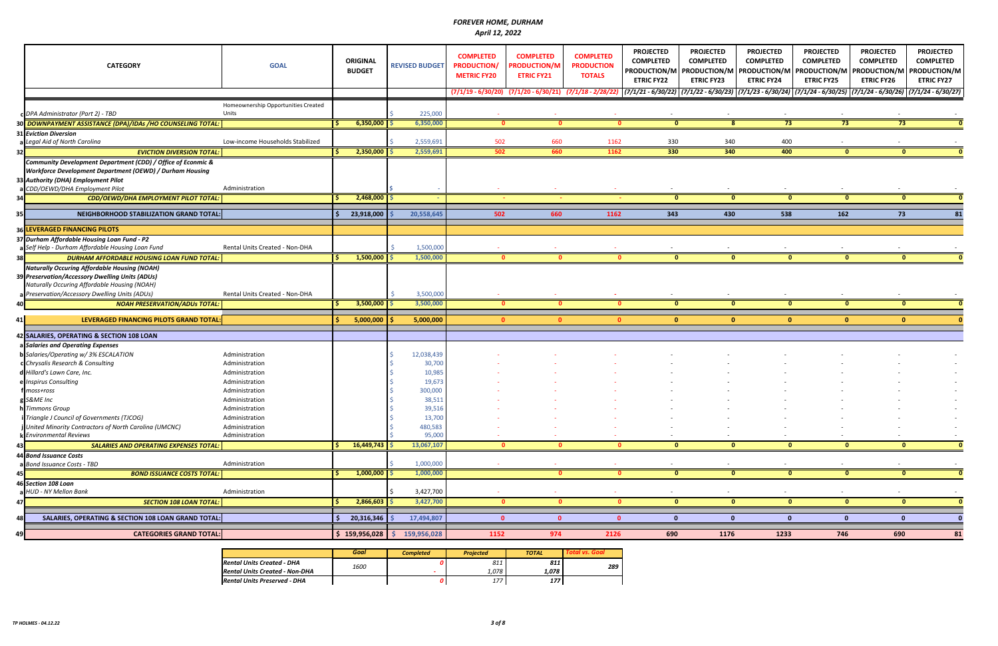|                 | <b>CATEGORY</b>                                                | <b>GOAL</b>                         | <b>ORIGINAL</b><br><b>BUDGET</b> | <b>REVISED BUDGET</b>   | <b>COMPLETED</b><br><b>PRODUCTION/</b><br><b>METRIC FY20</b> | <b>COMPLETED</b><br><b>PRODUCTION/M</b><br><b>ETRIC FY21</b>   | <b>COMPLETED</b><br><b>PRODUCTION</b><br><b>TOTALS</b> | <b>PROJECTED</b><br><b>COMPLETED</b><br><b>ETRIC FY22</b> | <b>PROJECTED</b><br><b>COMPLETED</b><br><b>ETRIC FY23</b> | <b>PROJECTED</b><br><b>COMPLETED</b><br><b>ETRIC FY24</b> | <b>PROJECTED</b><br><b>COMPLETED</b><br>PRODUCTION/M   PRODUCTION/M   PRODUCTION/M   PRODUCTION/M   PRODUCTION/M<br><b>ETRIC FY25</b>                                                                          | <b>PROJECTED</b><br><b>COMPLETED</b><br><b>ETRIC FY26</b> | <b>PROJECTED</b><br><b>COMPLETED</b><br>PRODUCTION/M<br><b>ETRIC FY27</b> |
|-----------------|----------------------------------------------------------------|-------------------------------------|----------------------------------|-------------------------|--------------------------------------------------------------|----------------------------------------------------------------|--------------------------------------------------------|-----------------------------------------------------------|-----------------------------------------------------------|-----------------------------------------------------------|----------------------------------------------------------------------------------------------------------------------------------------------------------------------------------------------------------------|-----------------------------------------------------------|---------------------------------------------------------------------------|
|                 |                                                                |                                     |                                  |                         |                                                              | $(7/1/19 - 6/30/20)$ $(7/1/20 - 6/30/21)$ $(7/1/18 - 2/28/22)$ |                                                        |                                                           |                                                           |                                                           | $\left[(7/1/21\cdot6/30/22)\right](7/1/22\cdot6/30/23)\right]$ $\left[(7/1/23\cdot6/30/24)\right]$ $\left[(7/1/24\cdot6/30/25)\right]$ $\left[(7/1/24\cdot6/30/26)\right]$ $\left[(7/1/24\cdot6/30/27)\right]$ |                                                           |                                                                           |
|                 |                                                                | Homeownership Opportunities Created |                                  |                         |                                                              |                                                                |                                                        |                                                           |                                                           |                                                           |                                                                                                                                                                                                                |                                                           |                                                                           |
|                 | c DPA Administrator (Part 2) - TBD                             | Units                               |                                  | 225,000                 |                                                              |                                                                |                                                        |                                                           |                                                           |                                                           |                                                                                                                                                                                                                |                                                           |                                                                           |
|                 | 30 DOWNPAYMENT ASSISTANCE (DPA)/IDAs /HO COUNSELING TOTAL:     |                                     | 6,350,000                        | 6,350,000               | $\bullet$                                                    | $\mathbf{0}$                                                   | $\mathbf{0}$                                           | $\mathbf{0}$                                              | 8 <sup>2</sup>                                            | 73                                                        | 73                                                                                                                                                                                                             | 73                                                        | - 0                                                                       |
|                 | <b>31 Eviction Diversion</b>                                   |                                     |                                  |                         |                                                              |                                                                |                                                        |                                                           |                                                           |                                                           |                                                                                                                                                                                                                |                                                           |                                                                           |
|                 | a Legal Aid of North Carolina                                  | Low-income Households Stabilized    |                                  | 2,559,691               | 502                                                          | 660                                                            | 1162                                                   | 330                                                       | 340                                                       | 400                                                       |                                                                                                                                                                                                                |                                                           |                                                                           |
| 32 <sub>l</sub> | <b>EVICTION DIVERSION TOTAL:</b>                               |                                     | 2,350,000                        | 2,559,691               | 502                                                          | 660                                                            | 1162                                                   | 330                                                       | 340                                                       | 400                                                       | $\bullet$                                                                                                                                                                                                      | $\bullet$                                                 |                                                                           |
|                 | Community Development Department (CDD) / Office of Econmic &   |                                     |                                  |                         |                                                              |                                                                |                                                        |                                                           |                                                           |                                                           |                                                                                                                                                                                                                |                                                           |                                                                           |
|                 | Workforce Development Department (OEWD) / Durham Housing       |                                     |                                  |                         |                                                              |                                                                |                                                        |                                                           |                                                           |                                                           |                                                                                                                                                                                                                |                                                           |                                                                           |
|                 | 33 Authority (DHA) Employment Pilot                            |                                     |                                  |                         |                                                              |                                                                |                                                        |                                                           |                                                           |                                                           |                                                                                                                                                                                                                |                                                           |                                                                           |
|                 | a CDD/OEWD/DHA Employment Pilot                                | Administration                      |                                  |                         |                                                              |                                                                |                                                        |                                                           |                                                           |                                                           |                                                                                                                                                                                                                |                                                           |                                                                           |
| 34              | CDD/OEWD/DHA EMPLOYMENT PILOT TOTAL:                           |                                     | 2,468,000                        |                         |                                                              |                                                                |                                                        | $\mathbf{0}$                                              | $\mathbf{0}$                                              | $\mathbf{0}$                                              | $\mathbf{0}$                                                                                                                                                                                                   | $\mathbf{0}$                                              |                                                                           |
|                 |                                                                |                                     |                                  |                         |                                                              |                                                                |                                                        |                                                           |                                                           |                                                           |                                                                                                                                                                                                                |                                                           |                                                                           |
| 351             | <b>NEIGHBORHOOD STABILIZATION GRAND TOTAL:</b>                 |                                     | 23,918,000                       | 20,558,645              | 502                                                          | 660                                                            | 1162                                                   | 343                                                       | 430                                                       | 538                                                       | 162                                                                                                                                                                                                            | 73                                                        |                                                                           |
|                 | <b>B6 LEVERAGED FINANCING PILOTS</b>                           |                                     |                                  |                         |                                                              |                                                                |                                                        |                                                           |                                                           |                                                           |                                                                                                                                                                                                                |                                                           |                                                                           |
|                 | 37 Durham Affordable Housing Loan Fund - P2                    |                                     |                                  |                         |                                                              |                                                                |                                                        |                                                           |                                                           |                                                           |                                                                                                                                                                                                                |                                                           |                                                                           |
|                 | a Self Help - Durham Affordable Housing Loan Fund              | Rental Units Created - Non-DHA      |                                  | 1,500,000               |                                                              |                                                                |                                                        |                                                           |                                                           |                                                           |                                                                                                                                                                                                                |                                                           |                                                                           |
| 38              | <b>DURHAM AFFORDABLE HOUSING LOAN FUND TOTAL:</b>              |                                     | 1,500,000                        | 1,500,000               | $\mathbf{0}$                                                 | $\mathbf{0}$                                                   | $\mathbf{0}$                                           | $\mathbf{0}$                                              | $\mathbf{0}$                                              | $\mathbf{0}$                                              | $\mathbf{0}$                                                                                                                                                                                                   | $\mathbf{0}$                                              |                                                                           |
|                 | <b>Naturally Occuring Affordable Housing (NOAH)</b>            |                                     |                                  |                         |                                                              |                                                                |                                                        |                                                           |                                                           |                                                           |                                                                                                                                                                                                                |                                                           |                                                                           |
|                 | 39 Preservation/Accessory Dwelling Units (ADUs)                |                                     |                                  |                         |                                                              |                                                                |                                                        |                                                           |                                                           |                                                           |                                                                                                                                                                                                                |                                                           |                                                                           |
|                 | Naturally Occuring Affordable Housing (NOAH)                   |                                     |                                  |                         |                                                              |                                                                |                                                        |                                                           |                                                           |                                                           |                                                                                                                                                                                                                |                                                           |                                                                           |
|                 | a Preservation/Accessory Dwelling Units (ADUs)                 | Rental Units Created - Non-DHA      |                                  | 3,500,000               |                                                              |                                                                | $\sim$                                                 | $\overline{\phantom{a}}$                                  | $\overline{\phantom{a}}$                                  |                                                           |                                                                                                                                                                                                                |                                                           |                                                                           |
| 40              | <b>NOAH PRESERVATION/ADUS TOTAL:</b>                           |                                     | $3,500,000$ $\frac{1}{5}$        | 3,500,000               | $\bullet$                                                    | $\mathbf{0}$                                                   | $\mathbf{0}$                                           | $\mathbf{0}$                                              | $\mathbf{0}$                                              | $\mathbf{0}$                                              | $\mathbf{0}$                                                                                                                                                                                                   | $\mathbf{0}$                                              |                                                                           |
| 41 I            | LEVERAGED FINANCING PILOTS GRAND TOTAL                         |                                     | 5,000,000                        | 5,000,000               | $\mathbf{0}$                                                 | $\Omega$                                                       | $\Omega$                                               | $\mathbf{0}$                                              | $\mathbf{0}$                                              | $\Omega$                                                  | $\mathbf{0}$                                                                                                                                                                                                   | $\mathbf{0}$                                              |                                                                           |
|                 |                                                                |                                     |                                  |                         |                                                              |                                                                |                                                        |                                                           |                                                           |                                                           |                                                                                                                                                                                                                |                                                           |                                                                           |
|                 | 42 SALARIES, OPERATING & SECTION 108 LOAN                      |                                     |                                  |                         |                                                              |                                                                |                                                        |                                                           |                                                           |                                                           |                                                                                                                                                                                                                |                                                           |                                                                           |
|                 | a Salaries and Operating Expenses                              |                                     |                                  |                         |                                                              |                                                                |                                                        |                                                           |                                                           |                                                           |                                                                                                                                                                                                                |                                                           |                                                                           |
|                 | <b>b</b> Salaries/Operating w/ 3% ESCALATION                   | Administration                      |                                  | 12,038,439              |                                                              |                                                                |                                                        |                                                           |                                                           |                                                           |                                                                                                                                                                                                                |                                                           |                                                                           |
|                 | c Chrysalis Research & Consulting                              | Administration                      |                                  | 30,700                  |                                                              |                                                                |                                                        |                                                           |                                                           |                                                           |                                                                                                                                                                                                                |                                                           |                                                                           |
|                 | d Hillard's Lawn Care, Inc.                                    | Administration                      |                                  | 10,985                  |                                                              |                                                                |                                                        |                                                           |                                                           |                                                           |                                                                                                                                                                                                                |                                                           |                                                                           |
|                 | e Inspirus Consulting                                          | Administration                      |                                  | 19,673                  |                                                              |                                                                |                                                        |                                                           |                                                           |                                                           |                                                                                                                                                                                                                |                                                           |                                                                           |
|                 | moss+ross                                                      | Administration                      |                                  | 300,000                 |                                                              |                                                                |                                                        |                                                           |                                                           |                                                           |                                                                                                                                                                                                                |                                                           |                                                                           |
|                 | g S&ME Inc                                                     | Administration                      |                                  | 38,511                  |                                                              |                                                                |                                                        |                                                           |                                                           |                                                           |                                                                                                                                                                                                                |                                                           |                                                                           |
|                 | h Timmons Group<br>i Triangle J Council of Governments (TJCOG) | Administration<br>Administration    |                                  | 39,516<br>13,700        |                                                              |                                                                |                                                        |                                                           |                                                           |                                                           |                                                                                                                                                                                                                |                                                           |                                                                           |
|                 | j United Minority Contractors of North Carolina (UMCNC)        | Administration                      |                                  | 480,583                 |                                                              |                                                                |                                                        |                                                           |                                                           |                                                           |                                                                                                                                                                                                                |                                                           |                                                                           |
|                 | k Environmental Reviews                                        | Administration                      |                                  | 95,000                  |                                                              |                                                                |                                                        |                                                           |                                                           |                                                           |                                                                                                                                                                                                                |                                                           |                                                                           |
| 43              | <b>SALARIES AND OPERATING EXPENSES TOTAL:</b>                  |                                     | 16,449,743                       | 13,067,107              | $\mathbf{0}$                                                 | 0                                                              | $\mathbf{0}$                                           | $\mathbf{0}$                                              | $\mathbf{0}$                                              | $\mathbf{0}$                                              | $\mathbf{0}$                                                                                                                                                                                                   | $\mathbf{0}$                                              |                                                                           |
|                 | 44 Bond Issuance Costs                                         |                                     |                                  |                         |                                                              |                                                                |                                                        |                                                           |                                                           |                                                           |                                                                                                                                                                                                                |                                                           |                                                                           |
|                 | a Bond Issuance Costs - TBD                                    | Administration                      |                                  | 1,000,000               |                                                              |                                                                |                                                        |                                                           |                                                           |                                                           |                                                                                                                                                                                                                |                                                           |                                                                           |
| 45              | <b>BOND ISSUANCE COSTS TOTAL:</b>                              |                                     | 1,000,000                        | 1,000,000               |                                                              | $\mathbf{0}$                                                   | $\mathbf{0}$                                           | $\mathbf{0}$                                              | $\mathbf{0}$                                              | $\mathbf{0}$                                              | $\bullet$                                                                                                                                                                                                      | $\mathbf{0}$                                              |                                                                           |
|                 | 46 Section 108 Loan                                            |                                     |                                  |                         |                                                              |                                                                |                                                        |                                                           |                                                           |                                                           |                                                                                                                                                                                                                |                                                           |                                                                           |
|                 | a HUD - NY Mellon Bank                                         | Administration                      |                                  | 3,427,700               |                                                              |                                                                |                                                        | $\overline{\phantom{a}}$                                  |                                                           |                                                           |                                                                                                                                                                                                                |                                                           |                                                                           |
| 47              | <b>SECTION 108 LOAN TOTAL:</b>                                 |                                     | 2,866,603                        | 3,427,700               | $\mathbf{0}$                                                 | $\mathbf{0}$                                                   | $\mathbf{0}$                                           | $\mathbf{0}$                                              | $\mathbf{0}$                                              | $\mathbf{0}$                                              | $\bf{0}$                                                                                                                                                                                                       | $\mathbf 0$                                               |                                                                           |
|                 |                                                                |                                     |                                  |                         |                                                              |                                                                |                                                        |                                                           |                                                           |                                                           |                                                                                                                                                                                                                |                                                           |                                                                           |
|                 | SALARIES, OPERATING & SECTION 108 LOAN GRAND TOTAL:            |                                     | 20,316,346                       | 17,494,807              | $\mathbf{0}$                                                 | $\mathbf{0}$                                                   | $\mathbf{0}$                                           | $\mathbf{0}$                                              | $\mathbf{0}$                                              | $\mathbf{0}$                                              | 0                                                                                                                                                                                                              | $\mathbf{0}$                                              |                                                                           |
| 49 I            | <b>CATEGORIES GRAND TOTAL:</b>                                 |                                     | \$159,956,028                    | 159,956,028<br><b>S</b> | 1152                                                         | 974                                                            | 2126                                                   | 690                                                       | 1176                                                      | 1233                                                      | 746                                                                                                                                                                                                            | 690                                                       | 81                                                                        |
|                 |                                                                |                                     |                                  |                         |                                                              |                                                                |                                                        |                                                           |                                                           |                                                           |                                                                                                                                                                                                                |                                                           |                                                                           |

|                                | Goal        | <b>Completed</b> | <b>Projected</b> | <b>TOTAL</b> | <b>Total vs. Goal</b> |
|--------------------------------|-------------|------------------|------------------|--------------|-----------------------|
| Rental Units Created - DHA     | <i>1600</i> |                  | 811              | 811          | 289                   |
| Rental Units Created - Non-DHA |             |                  | 1.078            | 1.078        |                       |
| Rental Units Preserved - DHA   |             |                  | 177              | 177          |                       |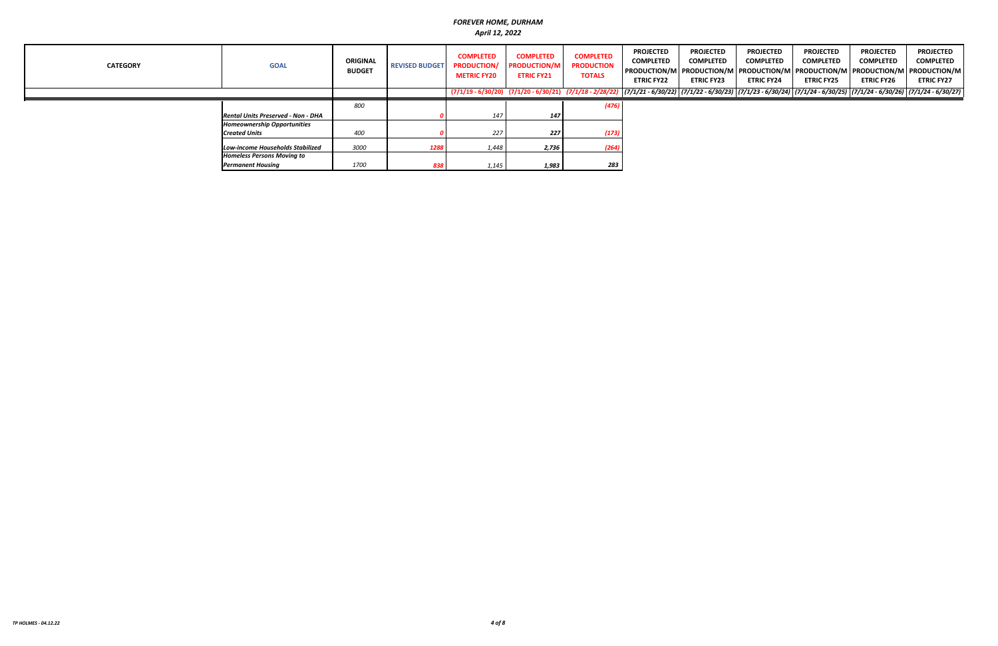| <b>CATEGORY</b> | <b>GOAL</b>                               | <b>ORIGINAL</b><br><b>BUDGET</b> | <b>REVISED BUDGET</b> | <b>COMPLETED</b><br><b>PRODUCTION/</b><br><b>METRIC FY20</b> | <b>COMPLETED</b><br><b>PRODUCTION/M</b><br><b>ETRIC FY21</b>                                                                                                                                 | <b>COMPLETED</b><br><b>PRODUCTION</b><br><b>TOTALS</b> | <b>PROJECTED</b><br><b>COMPLETED</b><br><b>ETRIC FY22</b> | <b>PROJECTED</b><br><b>COMPLETED</b><br><b>ETRIC FY23</b> | <b>PROJECTED</b><br><b>COMPLETED</b><br>PRODUCTION/M PRODUCTION/M PRODUCTION/M PRODUCTION/M PRODUCTION/M PRODUCTION/M<br><b>ETRIC FY24</b> | <b>PROJECTED</b><br><b>COMPLETED</b><br><b>ETRIC FY25</b> | <b>PROJECTED</b><br><b>COMPLETED</b><br><b>ETRIC FY26</b> | <b>PROJECTED</b><br><b>COMPLETED</b><br><b>ETRIC FY27</b> |
|-----------------|-------------------------------------------|----------------------------------|-----------------------|--------------------------------------------------------------|----------------------------------------------------------------------------------------------------------------------------------------------------------------------------------------------|--------------------------------------------------------|-----------------------------------------------------------|-----------------------------------------------------------|--------------------------------------------------------------------------------------------------------------------------------------------|-----------------------------------------------------------|-----------------------------------------------------------|-----------------------------------------------------------|
|                 |                                           |                                  |                       |                                                              | $(7/1/19 - 6/30/20)$ $(7/1/20 - 6/30/21)$ $(7/1/18 - 2/28/22)$ $(7/1/21 - 6/30/22)$ $(7/1/22 - 6/30/23)$ $(7/1/23 - 6/30/24)$ $(7/1/24 - 6/30/25)$ $(7/1/24 - 6/30/26)$ $(7/1/24 - 6/30/27)$ |                                                        |                                                           |                                                           |                                                                                                                                            |                                                           |                                                           |                                                           |
|                 |                                           | 800                              |                       |                                                              |                                                                                                                                                                                              | (476)                                                  |                                                           |                                                           |                                                                                                                                            |                                                           |                                                           |                                                           |
|                 | <b>Rental Units Preserved - Non - DHA</b> |                                  |                       | 147                                                          | 147                                                                                                                                                                                          |                                                        |                                                           |                                                           |                                                                                                                                            |                                                           |                                                           |                                                           |
|                 | <b>Homeownership Opportunities</b>        |                                  |                       |                                                              |                                                                                                                                                                                              |                                                        |                                                           |                                                           |                                                                                                                                            |                                                           |                                                           |                                                           |
|                 | <b>Created Units</b>                      | 400                              |                       | 227                                                          | 227                                                                                                                                                                                          | (173)                                                  |                                                           |                                                           |                                                                                                                                            |                                                           |                                                           |                                                           |
|                 | <b>Low-income Households Stabilized</b>   | 3000                             | 1288                  | 1,448                                                        | 2,736                                                                                                                                                                                        | (264)                                                  |                                                           |                                                           |                                                                                                                                            |                                                           |                                                           |                                                           |
|                 | <b>Homeless Persons Moving to</b>         |                                  |                       |                                                              |                                                                                                                                                                                              |                                                        |                                                           |                                                           |                                                                                                                                            |                                                           |                                                           |                                                           |
|                 | <b>Permanent Housing</b>                  | 1700                             | 838                   | 1,145                                                        | 1,983                                                                                                                                                                                        | 283                                                    |                                                           |                                                           |                                                                                                                                            |                                                           |                                                           |                                                           |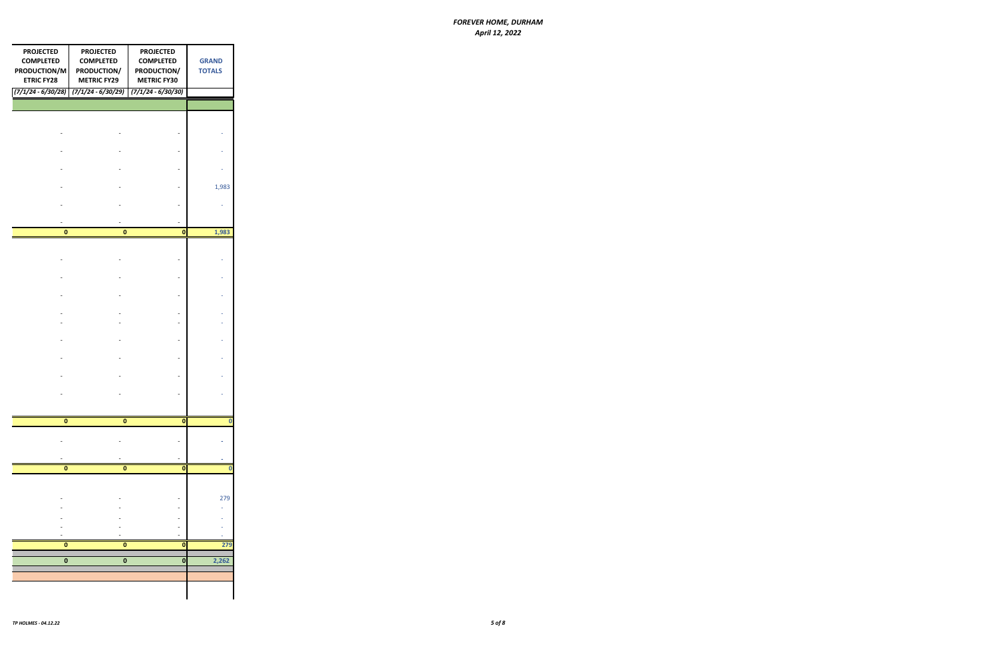| <b>PROJECTED</b><br><b>COMPLETED</b><br>PRODUCTION/M<br><b>ETRIC FY28</b> | <b>PROJECTED</b><br><b>COMPLETED</b><br>PRODUCTION/<br><b>METRIC FY29</b><br>$(7/1/24 - 6/30/28)$ $(7/1/24 - 6/30/29)$ $(7/1/24 - 6/30/30)$ | <b>PROJECTED</b><br><b>COMPLETED</b><br>PRODUCTION/<br><b>METRIC FY30</b> | <b>GRAND</b><br><b>TOTALS</b> |
|---------------------------------------------------------------------------|---------------------------------------------------------------------------------------------------------------------------------------------|---------------------------------------------------------------------------|-------------------------------|
|                                                                           |                                                                                                                                             |                                                                           |                               |
|                                                                           |                                                                                                                                             |                                                                           |                               |
|                                                                           |                                                                                                                                             |                                                                           |                               |
|                                                                           |                                                                                                                                             |                                                                           |                               |
|                                                                           |                                                                                                                                             |                                                                           |                               |
|                                                                           |                                                                                                                                             |                                                                           | 1,983                         |
|                                                                           |                                                                                                                                             |                                                                           |                               |
| $\pmb{0}$                                                                 | $\bf{0}$                                                                                                                                    | $\pmb{\mathsf{o}}$                                                        | 1,983                         |
|                                                                           |                                                                                                                                             |                                                                           |                               |
|                                                                           |                                                                                                                                             |                                                                           |                               |
|                                                                           |                                                                                                                                             |                                                                           |                               |
|                                                                           |                                                                                                                                             |                                                                           |                               |
|                                                                           |                                                                                                                                             |                                                                           |                               |
|                                                                           |                                                                                                                                             |                                                                           |                               |
|                                                                           |                                                                                                                                             |                                                                           |                               |
|                                                                           |                                                                                                                                             |                                                                           |                               |
|                                                                           |                                                                                                                                             |                                                                           |                               |
|                                                                           |                                                                                                                                             |                                                                           |                               |
| 0                                                                         | $\pmb{0}$                                                                                                                                   | $\pmb{0}$                                                                 | $\bf{0}$                      |
|                                                                           |                                                                                                                                             |                                                                           |                               |
|                                                                           |                                                                                                                                             |                                                                           |                               |
| $\pmb{0}$                                                                 | $\pmb{0}$                                                                                                                                   | $\mathbf 0$                                                               | 0                             |
|                                                                           |                                                                                                                                             |                                                                           |                               |
|                                                                           |                                                                                                                                             |                                                                           | 279                           |
|                                                                           |                                                                                                                                             |                                                                           |                               |
|                                                                           |                                                                                                                                             |                                                                           |                               |
| $\pmb{0}$                                                                 | $\pmb{0}$                                                                                                                                   | $\mathbf 0$                                                               | 279                           |
| $\overline{\mathbf{0}}$                                                   | 0                                                                                                                                           | 0                                                                         | 2,262                         |
|                                                                           |                                                                                                                                             |                                                                           |                               |
|                                                                           |                                                                                                                                             |                                                                           |                               |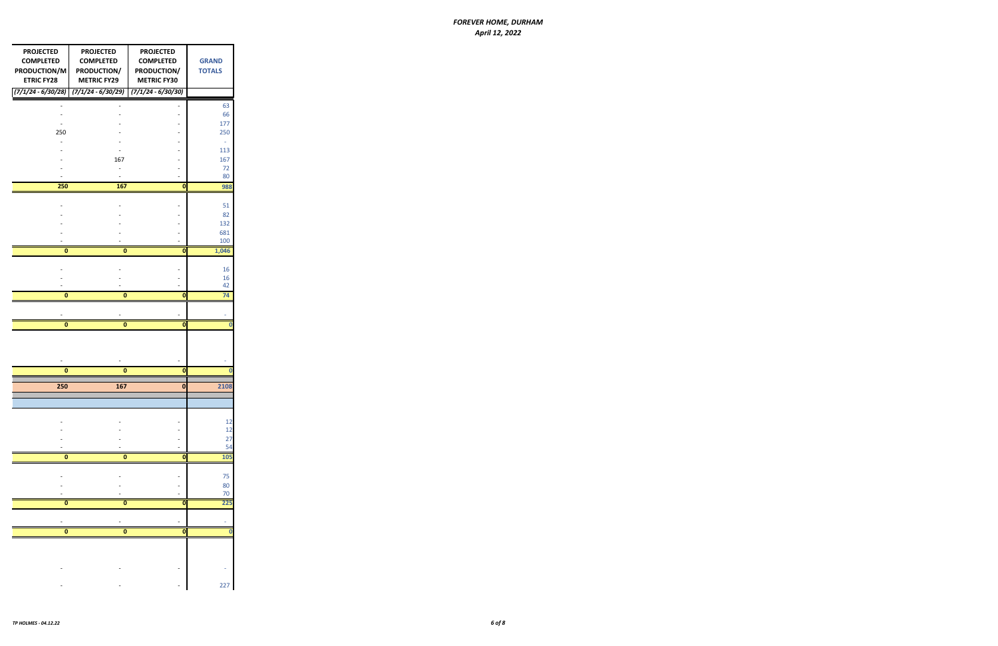| <b>PROJECTED</b><br><b>COMPLETED</b><br>PRODUCTION/M<br><b>ETRIC FY28</b><br>$(7/1/24 - 6/30/28)$ | <b>PROJECTED</b><br><b>COMPLETED</b><br>PRODUCTION/<br><b>METRIC FY29</b><br>$(7/1/24 - 6/30/29)$ | <b>PROJECTED</b><br><b>COMPLETED</b><br>PRODUCTION/<br><b>METRIC FY30</b><br>$(7/1/24 - 6/30/30)$ | <b>GRAND</b><br><b>TOTALS</b> |
|---------------------------------------------------------------------------------------------------|---------------------------------------------------------------------------------------------------|---------------------------------------------------------------------------------------------------|-------------------------------|
|                                                                                                   |                                                                                                   |                                                                                                   |                               |
|                                                                                                   |                                                                                                   |                                                                                                   | 63<br>66                      |
|                                                                                                   |                                                                                                   |                                                                                                   | 177                           |
| 250                                                                                               |                                                                                                   |                                                                                                   | 250                           |
|                                                                                                   |                                                                                                   |                                                                                                   | ÷,                            |
|                                                                                                   |                                                                                                   |                                                                                                   | 113                           |
|                                                                                                   | 167                                                                                               |                                                                                                   | 167                           |
|                                                                                                   |                                                                                                   |                                                                                                   | 72                            |
|                                                                                                   |                                                                                                   |                                                                                                   | 80                            |
| 250                                                                                               | 167                                                                                               | $\bf{0}$                                                                                          | 988                           |
|                                                                                                   |                                                                                                   |                                                                                                   | 51                            |
|                                                                                                   |                                                                                                   |                                                                                                   | 82                            |
|                                                                                                   |                                                                                                   |                                                                                                   | 132                           |
|                                                                                                   |                                                                                                   |                                                                                                   | 681                           |
|                                                                                                   |                                                                                                   |                                                                                                   | 100                           |
| 0                                                                                                 | 0                                                                                                 | 0                                                                                                 | 1,046                         |
|                                                                                                   |                                                                                                   |                                                                                                   |                               |
|                                                                                                   |                                                                                                   |                                                                                                   | 16                            |
|                                                                                                   |                                                                                                   |                                                                                                   | 16<br>42                      |
| 0                                                                                                 | 0                                                                                                 | 0                                                                                                 | 74                            |
|                                                                                                   |                                                                                                   |                                                                                                   |                               |
|                                                                                                   |                                                                                                   |                                                                                                   |                               |
| 0                                                                                                 | $\bf{0}$                                                                                          | 0                                                                                                 | $\bf{0}$                      |
|                                                                                                   |                                                                                                   |                                                                                                   |                               |
|                                                                                                   |                                                                                                   |                                                                                                   |                               |
| 0                                                                                                 | 0                                                                                                 | 0                                                                                                 | 0                             |
| 250                                                                                               | 167                                                                                               | $\bf{0}$                                                                                          | 2108                          |
|                                                                                                   |                                                                                                   |                                                                                                   |                               |
|                                                                                                   |                                                                                                   |                                                                                                   |                               |
|                                                                                                   |                                                                                                   |                                                                                                   |                               |
|                                                                                                   |                                                                                                   |                                                                                                   | 12<br>12                      |
|                                                                                                   |                                                                                                   |                                                                                                   | 27                            |
|                                                                                                   |                                                                                                   |                                                                                                   | 54                            |
| 0                                                                                                 | $\bf{0}$                                                                                          | 0                                                                                                 | 105                           |
|                                                                                                   |                                                                                                   |                                                                                                   |                               |
|                                                                                                   |                                                                                                   |                                                                                                   | 75                            |
|                                                                                                   |                                                                                                   |                                                                                                   | 80                            |
| 0                                                                                                 | 0                                                                                                 | 0                                                                                                 | 70<br>225                     |
|                                                                                                   |                                                                                                   |                                                                                                   |                               |
|                                                                                                   |                                                                                                   |                                                                                                   |                               |
| $\bf{0}$                                                                                          | $\overline{\mathbf{0}}$                                                                           | $\bf{0}$                                                                                          | 0                             |
|                                                                                                   |                                                                                                   |                                                                                                   |                               |
|                                                                                                   |                                                                                                   |                                                                                                   |                               |
|                                                                                                   |                                                                                                   |                                                                                                   |                               |
|                                                                                                   |                                                                                                   |                                                                                                   |                               |
|                                                                                                   |                                                                                                   |                                                                                                   | 227                           |
|                                                                                                   |                                                                                                   |                                                                                                   |                               |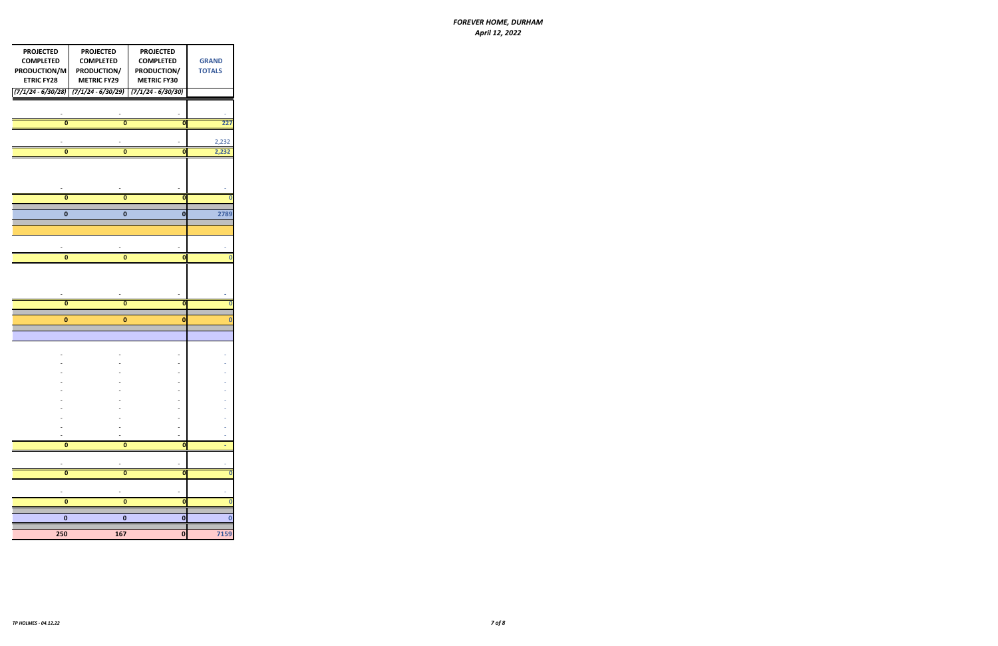| <b>PROJECTED</b><br><b>COMPLETED</b><br>PRODUCTION/M<br><b>ETRIC FY28</b> | <b>PROJECTED</b><br><b>COMPLETED</b><br>PRODUCTION/<br><b>METRIC FY29</b> | <b>PROJECTED</b><br><b>COMPLETED</b><br>PRODUCTION/<br><b>METRIC FY30</b> | <b>GRAND</b><br><b>TOTALS</b> |
|---------------------------------------------------------------------------|---------------------------------------------------------------------------|---------------------------------------------------------------------------|-------------------------------|
| $(7/1/24 - 6/30/28)$                                                      | $(7/1/24 - 6/30/29)$                                                      | $(7/1/24 - 6/30/30)$                                                      |                               |
|                                                                           |                                                                           |                                                                           |                               |
|                                                                           |                                                                           |                                                                           |                               |
| 0                                                                         | 0                                                                         | $\mathbf 0$                                                               | 227                           |
|                                                                           |                                                                           |                                                                           | 2,232                         |
| 0                                                                         | $\pmb{0}$                                                                 | $\mathbf 0$                                                               | 2,232                         |
|                                                                           |                                                                           |                                                                           |                               |
|                                                                           |                                                                           |                                                                           |                               |
|                                                                           |                                                                           |                                                                           |                               |
| $\bf{0}$                                                                  | $\overline{\mathbf{0}}$                                                   | $\mathbf{0}$                                                              | $\bf{0}$                      |
|                                                                           |                                                                           |                                                                           |                               |
| 0                                                                         | 0                                                                         | 0                                                                         | 2789                          |
|                                                                           |                                                                           |                                                                           |                               |
|                                                                           |                                                                           |                                                                           |                               |
| 0                                                                         | 0                                                                         | $\mathbf{0}$                                                              | 0                             |
|                                                                           |                                                                           |                                                                           |                               |
|                                                                           |                                                                           |                                                                           |                               |
|                                                                           |                                                                           |                                                                           |                               |
| 0                                                                         | 0                                                                         | 0                                                                         | 0                             |
|                                                                           |                                                                           |                                                                           |                               |
| 0                                                                         | $\pmb{0}$                                                                 | 0                                                                         | 0                             |
|                                                                           |                                                                           |                                                                           |                               |
|                                                                           |                                                                           |                                                                           |                               |
|                                                                           |                                                                           |                                                                           |                               |
|                                                                           |                                                                           |                                                                           |                               |
|                                                                           |                                                                           |                                                                           |                               |
|                                                                           |                                                                           |                                                                           |                               |
|                                                                           |                                                                           |                                                                           |                               |
|                                                                           |                                                                           |                                                                           |                               |
|                                                                           |                                                                           |                                                                           |                               |
| $\pmb{0}$                                                                 | $\pmb{0}$                                                                 |                                                                           |                               |
|                                                                           |                                                                           | $\bullet$                                                                 |                               |
|                                                                           |                                                                           |                                                                           |                               |
| $\pmb{0}$                                                                 | $\pmb{0}$                                                                 | $\mathbf{0}$                                                              | 0                             |
|                                                                           |                                                                           |                                                                           |                               |
| 0                                                                         | 0                                                                         | $\mathbf 0$                                                               | 0                             |
|                                                                           |                                                                           |                                                                           |                               |
| $\pmb{0}$                                                                 | 0                                                                         | $\mathbf 0$                                                               | 0                             |
| 250                                                                       | 167                                                                       | 0                                                                         | 7159                          |